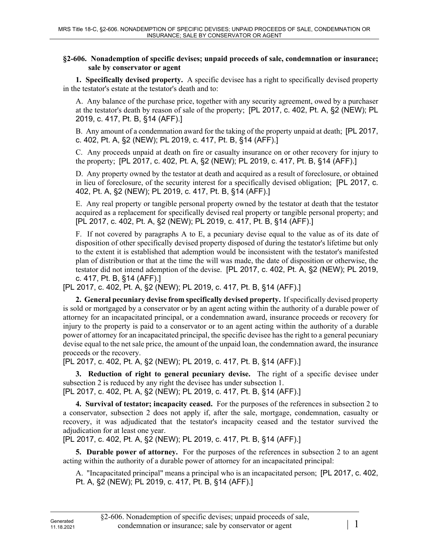## **§2-606. Nonademption of specific devises; unpaid proceeds of sale, condemnation or insurance; sale by conservator or agent**

**1. Specifically devised property.** A specific devisee has a right to specifically devised property in the testator's estate at the testator's death and to:

A. Any balance of the purchase price, together with any security agreement, owed by a purchaser at the testator's death by reason of sale of the property; [PL 2017, c. 402, Pt. A, §2 (NEW); PL 2019, c. 417, Pt. B, §14 (AFF).]

B. Any amount of a condemnation award for the taking of the property unpaid at death; [PL 2017, c. 402, Pt. A, §2 (NEW); PL 2019, c. 417, Pt. B, §14 (AFF).]

C. Any proceeds unpaid at death on fire or casualty insurance on or other recovery for injury to the property; [PL 2017, c. 402, Pt. A, §2 (NEW); PL 2019, c. 417, Pt. B, §14 (AFF).]

D. Any property owned by the testator at death and acquired as a result of foreclosure, or obtained in lieu of foreclosure, of the security interest for a specifically devised obligation; [PL 2017, c. 402, Pt. A, §2 (NEW); PL 2019, c. 417, Pt. B, §14 (AFF).]

E. Any real property or tangible personal property owned by the testator at death that the testator acquired as a replacement for specifically devised real property or tangible personal property; and [PL 2017, c. 402, Pt. A, §2 (NEW); PL 2019, c. 417, Pt. B, §14 (AFF).]

F. If not covered by paragraphs A to E, a pecuniary devise equal to the value as of its date of disposition of other specifically devised property disposed of during the testator's lifetime but only to the extent it is established that ademption would be inconsistent with the testator's manifested plan of distribution or that at the time the will was made, the date of disposition or otherwise, the testator did not intend ademption of the devise. [PL 2017, c. 402, Pt. A, §2 (NEW); PL 2019, c. 417, Pt. B, §14 (AFF).]

[PL 2017, c. 402, Pt. A, §2 (NEW); PL 2019, c. 417, Pt. B, §14 (AFF).]

**2. General pecuniary devise from specifically devised property.** If specifically devised property is sold or mortgaged by a conservator or by an agent acting within the authority of a durable power of attorney for an incapacitated principal, or a condemnation award, insurance proceeds or recovery for injury to the property is paid to a conservator or to an agent acting within the authority of a durable power of attorney for an incapacitated principal, the specific devisee has the right to a general pecuniary devise equal to the net sale price, the amount of the unpaid loan, the condemnation award, the insurance proceeds or the recovery.

[PL 2017, c. 402, Pt. A, §2 (NEW); PL 2019, c. 417, Pt. B, §14 (AFF).]

**3. Reduction of right to general pecuniary devise.** The right of a specific devisee under subsection 2 is reduced by any right the devisee has under subsection 1. [PL 2017, c. 402, Pt. A, §2 (NEW); PL 2019, c. 417, Pt. B, §14 (AFF).]

**4. Survival of testator; incapacity ceased.** For the purposes of the references in subsection 2 to a conservator, subsection 2 does not apply if, after the sale, mortgage, condemnation, casualty or recovery, it was adjudicated that the testator's incapacity ceased and the testator survived the adjudication for at least one year.

[PL 2017, c. 402, Pt. A, §2 (NEW); PL 2019, c. 417, Pt. B, §14 (AFF).]

**5. Durable power of attorney.** For the purposes of the references in subsection 2 to an agent acting within the authority of a durable power of attorney for an incapacitated principal:

A. "Incapacitated principal" means a principal who is an incapacitated person; [PL 2017, c. 402, Pt. A, §2 (NEW); PL 2019, c. 417, Pt. B, §14 (AFF).]